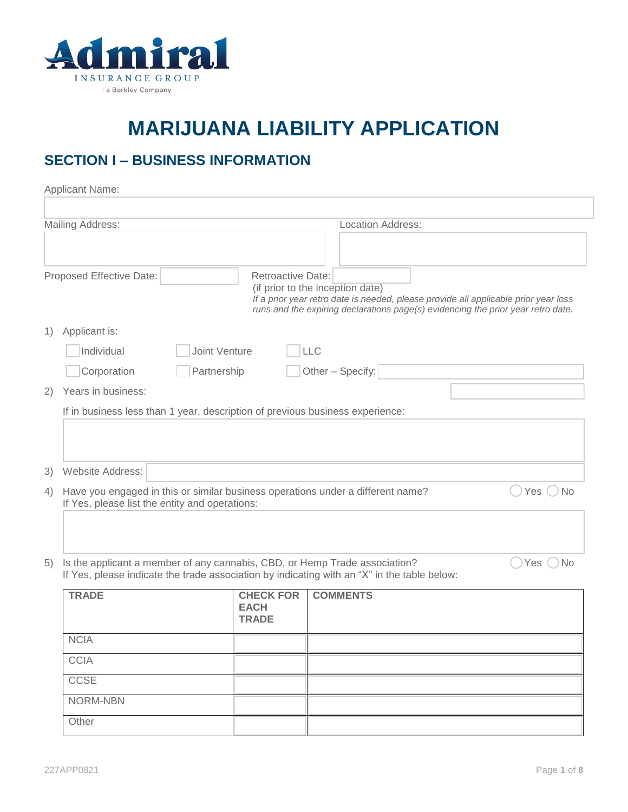

# **MARIJUANA LIABILITY APPLICATION**

## **SECTION I – BUSINESS INFORMATION**

|    | Applicant Name:                                                                                                                   |                                                 |            |                                  |                   |                                                                                                                                                                         |  |
|----|-----------------------------------------------------------------------------------------------------------------------------------|-------------------------------------------------|------------|----------------------------------|-------------------|-------------------------------------------------------------------------------------------------------------------------------------------------------------------------|--|
|    | <b>Mailing Address:</b>                                                                                                           |                                                 |            |                                  | Location Address: |                                                                                                                                                                         |  |
|    | Proposed Effective Date:                                                                                                          | <b>Retroactive Date:</b>                        |            | (if prior to the inception date) |                   | If a prior year retro date is needed, please provide all applicable prior year loss<br>runs and the expiring declarations page(s) evidencing the prior year retro date. |  |
| 1) | Applicant is:                                                                                                                     |                                                 |            |                                  |                   |                                                                                                                                                                         |  |
|    | Individual                                                                                                                        | <b>Joint Venture</b>                            | <b>LLC</b> |                                  |                   |                                                                                                                                                                         |  |
|    | Corporation                                                                                                                       | Partnership                                     |            | Other - Specify:                 |                   |                                                                                                                                                                         |  |
| 2) | Years in business:                                                                                                                |                                                 |            |                                  |                   |                                                                                                                                                                         |  |
|    | If in business less than 1 year, description of previous business experience:                                                     |                                                 |            |                                  |                   |                                                                                                                                                                         |  |
| 3) | Website Address:                                                                                                                  |                                                 |            |                                  |                   |                                                                                                                                                                         |  |
| 4) | Have you engaged in this or similar business operations under a different name?<br>If Yes, please list the entity and operations: |                                                 |            |                                  |                   | $\bigcup$ Yes $\bigcirc$ No                                                                                                                                             |  |
| 5) | Is the applicant a member of any cannabis, CBD, or Hemp Trade association?                                                        |                                                 |            |                                  |                   | Yes<br><b>No</b>                                                                                                                                                        |  |
|    | If Yes, please indicate the trade association by indicating with an "X" in the table below:                                       |                                                 |            |                                  |                   |                                                                                                                                                                         |  |
|    | <b>TRADE</b>                                                                                                                      | <b>CHECK FOR</b><br><b>EACH</b><br><b>TRADE</b> |            | <b>COMMENTS</b>                  |                   |                                                                                                                                                                         |  |
|    | <b>NCIA</b>                                                                                                                       |                                                 |            |                                  |                   |                                                                                                                                                                         |  |
|    | <b>CCIA</b>                                                                                                                       |                                                 |            |                                  |                   |                                                                                                                                                                         |  |
|    | <b>CCSE</b>                                                                                                                       |                                                 |            |                                  |                   |                                                                                                                                                                         |  |
|    | <b>NORM-NBN</b>                                                                                                                   |                                                 |            |                                  |                   |                                                                                                                                                                         |  |

**Other**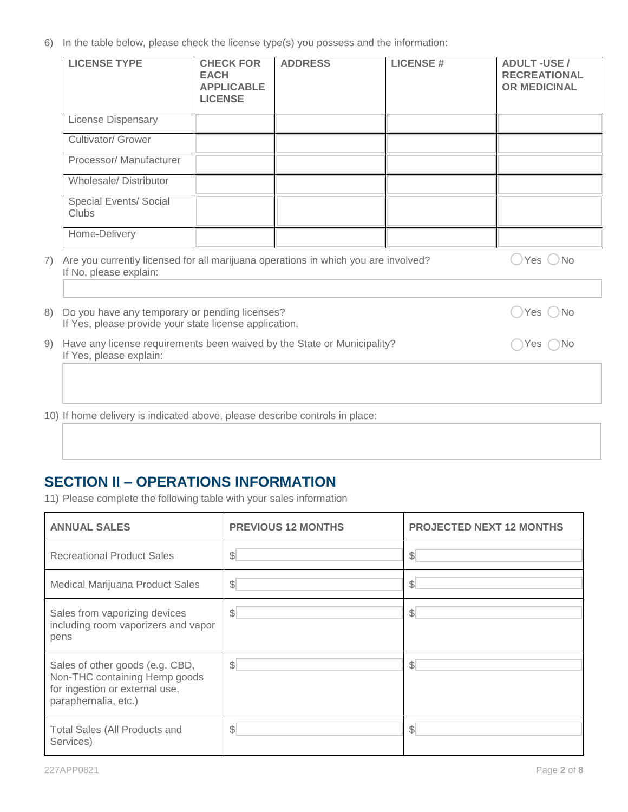6) In the table below, please check the license type(s) you possess and the information:

| <b>LICENSE TYPE</b>                                                                                          | <b>CHECK FOR</b><br><b>EACH</b><br><b>APPLICABLE</b><br><b>LICENSE</b> | <b>ADDRESS</b> | <b>LICENSE#</b> | <b>ADULT-USE/</b><br><b>RECREATIONAL</b><br><b>OR MEDICINAL</b> |
|--------------------------------------------------------------------------------------------------------------|------------------------------------------------------------------------|----------------|-----------------|-----------------------------------------------------------------|
| <b>License Dispensary</b>                                                                                    |                                                                        |                |                 |                                                                 |
| Cultivator/ Grower                                                                                           |                                                                        |                |                 |                                                                 |
| Processor/Manufacturer                                                                                       |                                                                        |                |                 |                                                                 |
| <b>Wholesale/Distributor</b>                                                                                 |                                                                        |                |                 |                                                                 |
| Special Events/ Social<br>Clubs                                                                              |                                                                        |                |                 |                                                                 |
| Home-Delivery                                                                                                |                                                                        |                |                 |                                                                 |
| Are you currently licensed for all marijuana operations in which you are involved?<br>If No, please explain: |                                                                        |                |                 | Yes ()No                                                        |
| Do you have any temporary or pending licenses?<br>If Yes, please provide your state license application.     |                                                                        |                |                 | $\bigcirc$ Yes $\bigcirc$ No                                    |
| Have any license requirements been waived by the State or Municipality?<br>If Yes, please explain:           |                                                                        |                |                 | $\bigcap$ Yes $\bigcap$ No                                      |
|                                                                                                              |                                                                        |                |                 |                                                                 |

## **SECTION II – OPERATIONS INFORMATION**

11) Please complete the following table with your sales information

| <b>ANNUAL SALES</b>                                                                                                        | <b>PREVIOUS 12 MONTHS</b> | <b>PROJECTED NEXT 12 MONTHS</b> |
|----------------------------------------------------------------------------------------------------------------------------|---------------------------|---------------------------------|
| <b>Recreational Product Sales</b>                                                                                          | $\mathbb{S}$              | \$                              |
| Medical Marijuana Product Sales                                                                                            | $\mathcal{L}$             | \$                              |
| Sales from vaporizing devices<br>including room vaporizers and vapor<br>pens                                               | $\mathcal{S}$             | \$                              |
| Sales of other goods (e.g. CBD,<br>Non-THC containing Hemp goods<br>for ingestion or external use,<br>paraphernalia, etc.) | $\mathbb{S}$              | $\mathbb{S}^{\mathbb{N}}$       |
| <b>Total Sales (All Products and</b><br>Services)                                                                          | \$                        | \$                              |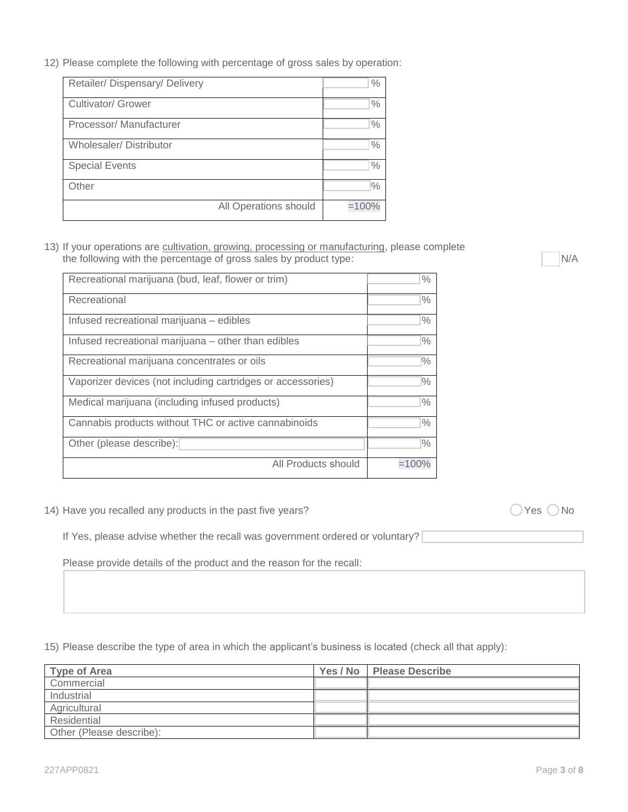12) Please complete the following with percentage of gross sales by operation:

| Retailer/Dispensary/Delivery  |                       | $\frac{0}{0}$  |
|-------------------------------|-----------------------|----------------|
| <b>Cultivator/ Grower</b>     |                       | $\frac{0}{0}$  |
| Processor/Manufacturer        |                       | $\frac{0}{0}$  |
| <b>Wholesaler/Distributor</b> |                       | $\frac{0}{0}$  |
| <b>Special Events</b>         |                       | $\frac{0}{0}$  |
| Other                         |                       | $\frac{10}{6}$ |
|                               | All Operations should | $=100%$        |

13) If your operations are cultivation, growing, processing or manufacturing, please complete the following with the percentage of gross sales by product type: N/A

| Recreational marijuana (bud, leaf, flower or trim)          | $\frac{0}{0}$ |
|-------------------------------------------------------------|---------------|
| Recreational                                                | $\%$          |
| Infused recreational marijuana - edibles                    | $\%$          |
| Infused recreational marijuana - other than edibles         | $\%$          |
| Recreational marijuana concentrates or oils                 | $\%$          |
| Vaporizer devices (not including cartridges or accessories) | $\%$          |
| Medical marijuana (including infused products)              | $\%$          |
| Cannabis products without THC or active cannabinoids        | $\%$          |
| Other (please describe):                                    | $\%$          |
| All Products should                                         | $=100%$       |

14) Have you recalled any products in the past five years?  $\bigcirc$  Yes  $\bigcirc$  No

If Yes, please advise whether the recall was government ordered or voluntary?

Please provide details of the product and the reason for the recall:

15) Please describe the type of area in which the applicant's business is located (check all that apply):

| <b>Type of Area</b>      | Yes / No Please Describe |
|--------------------------|--------------------------|
| Commercial               |                          |
| Industrial               |                          |
| Agricultural             |                          |
| Residential              |                          |
| Other (Please describe): |                          |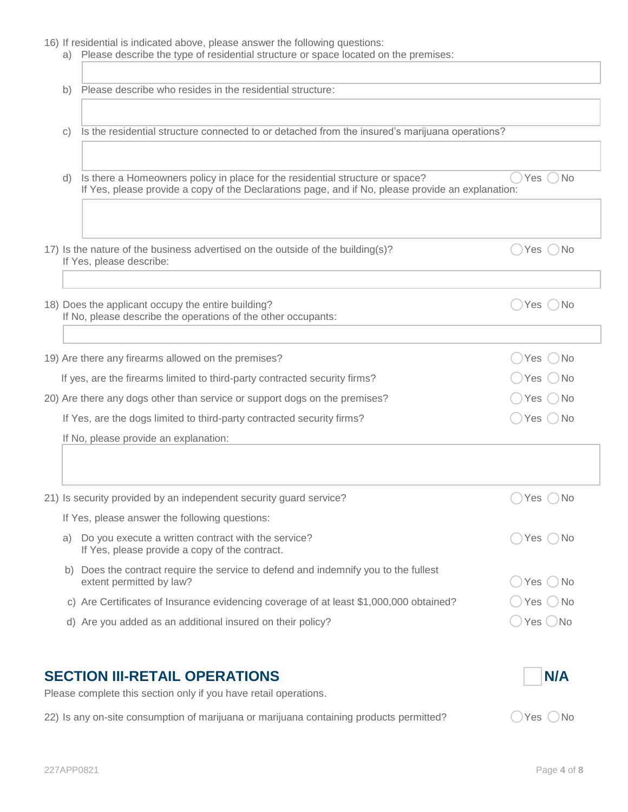16) If residential is indicated above, please answer the following questions:

| Please describe who resides in the residential structure:<br>b)<br>Is the residential structure connected to or detached from the insured's marijuana operations?<br>C)<br>Is there a Homeowners policy in place for the residential structure or space?<br>No<br>Yes $( )$<br>d)<br>If Yes, please provide a copy of the Declarations page, and if No, please provide an explanation:<br>17) Is the nature of the business advertised on the outside of the building(s)?<br>Yes ()No<br>If Yes, please describe:<br>18) Does the applicant occupy the entire building?<br>Yes ONo<br>If No, please describe the operations of the other occupants:<br>19) Are there any firearms allowed on the premises?<br>Yes ()No<br>If yes, are the firearms limited to third-party contracted security firms?<br>Yes () No<br>20) Are there any dogs other than service or support dogs on the premises?<br>Yes $()$ No |
|----------------------------------------------------------------------------------------------------------------------------------------------------------------------------------------------------------------------------------------------------------------------------------------------------------------------------------------------------------------------------------------------------------------------------------------------------------------------------------------------------------------------------------------------------------------------------------------------------------------------------------------------------------------------------------------------------------------------------------------------------------------------------------------------------------------------------------------------------------------------------------------------------------------|
|                                                                                                                                                                                                                                                                                                                                                                                                                                                                                                                                                                                                                                                                                                                                                                                                                                                                                                                |
|                                                                                                                                                                                                                                                                                                                                                                                                                                                                                                                                                                                                                                                                                                                                                                                                                                                                                                                |
|                                                                                                                                                                                                                                                                                                                                                                                                                                                                                                                                                                                                                                                                                                                                                                                                                                                                                                                |
|                                                                                                                                                                                                                                                                                                                                                                                                                                                                                                                                                                                                                                                                                                                                                                                                                                                                                                                |
|                                                                                                                                                                                                                                                                                                                                                                                                                                                                                                                                                                                                                                                                                                                                                                                                                                                                                                                |
|                                                                                                                                                                                                                                                                                                                                                                                                                                                                                                                                                                                                                                                                                                                                                                                                                                                                                                                |
|                                                                                                                                                                                                                                                                                                                                                                                                                                                                                                                                                                                                                                                                                                                                                                                                                                                                                                                |
|                                                                                                                                                                                                                                                                                                                                                                                                                                                                                                                                                                                                                                                                                                                                                                                                                                                                                                                |
|                                                                                                                                                                                                                                                                                                                                                                                                                                                                                                                                                                                                                                                                                                                                                                                                                                                                                                                |
|                                                                                                                                                                                                                                                                                                                                                                                                                                                                                                                                                                                                                                                                                                                                                                                                                                                                                                                |
|                                                                                                                                                                                                                                                                                                                                                                                                                                                                                                                                                                                                                                                                                                                                                                                                                                                                                                                |
|                                                                                                                                                                                                                                                                                                                                                                                                                                                                                                                                                                                                                                                                                                                                                                                                                                                                                                                |
|                                                                                                                                                                                                                                                                                                                                                                                                                                                                                                                                                                                                                                                                                                                                                                                                                                                                                                                |
|                                                                                                                                                                                                                                                                                                                                                                                                                                                                                                                                                                                                                                                                                                                                                                                                                                                                                                                |
|                                                                                                                                                                                                                                                                                                                                                                                                                                                                                                                                                                                                                                                                                                                                                                                                                                                                                                                |
|                                                                                                                                                                                                                                                                                                                                                                                                                                                                                                                                                                                                                                                                                                                                                                                                                                                                                                                |
| If Yes, are the dogs limited to third-party contracted security firms?<br>Yes $\bigcirc$ No                                                                                                                                                                                                                                                                                                                                                                                                                                                                                                                                                                                                                                                                                                                                                                                                                    |
| If No, please provide an explanation:                                                                                                                                                                                                                                                                                                                                                                                                                                                                                                                                                                                                                                                                                                                                                                                                                                                                          |
|                                                                                                                                                                                                                                                                                                                                                                                                                                                                                                                                                                                                                                                                                                                                                                                                                                                                                                                |
| 21) Is security provided by an independent security guard service?<br>Yes (<br>) No                                                                                                                                                                                                                                                                                                                                                                                                                                                                                                                                                                                                                                                                                                                                                                                                                            |
| If Yes, please answer the following questions:                                                                                                                                                                                                                                                                                                                                                                                                                                                                                                                                                                                                                                                                                                                                                                                                                                                                 |
| Do you execute a written contract with the service?<br>) No<br>Yes<br>a)<br>If Yes, please provide a copy of the contract.                                                                                                                                                                                                                                                                                                                                                                                                                                                                                                                                                                                                                                                                                                                                                                                     |
| b) Does the contract require the service to defend and indemnify you to the fullest<br>extent permitted by law?<br>Yes<br>No                                                                                                                                                                                                                                                                                                                                                                                                                                                                                                                                                                                                                                                                                                                                                                                   |
| c) Are Certificates of Insurance evidencing coverage of at least \$1,000,000 obtained?<br>) No<br>Yes                                                                                                                                                                                                                                                                                                                                                                                                                                                                                                                                                                                                                                                                                                                                                                                                          |
| d) Are you added as an additional insured on their policy?<br>Yes<br>⊃No                                                                                                                                                                                                                                                                                                                                                                                                                                                                                                                                                                                                                                                                                                                                                                                                                                       |
|                                                                                                                                                                                                                                                                                                                                                                                                                                                                                                                                                                                                                                                                                                                                                                                                                                                                                                                |
|                                                                                                                                                                                                                                                                                                                                                                                                                                                                                                                                                                                                                                                                                                                                                                                                                                                                                                                |
| <b>SECTION III-RETAIL OPERATIONS</b><br><b>N/A</b><br>Please complete this section only if you have retail operations.                                                                                                                                                                                                                                                                                                                                                                                                                                                                                                                                                                                                                                                                                                                                                                                         |
| 22) Is any on-site consumption of marijuana or marijuana containing products permitted?<br>No<br>Yes                                                                                                                                                                                                                                                                                                                                                                                                                                                                                                                                                                                                                                                                                                                                                                                                           |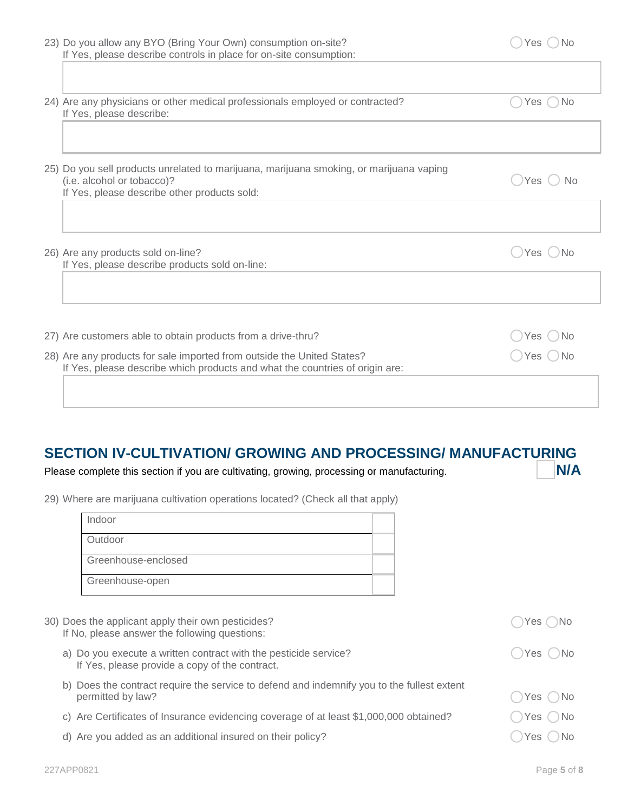| 23) Do you allow any BYO (Bring Your Own) consumption on-site?<br>If Yes, please describe controls in place for on-site consumption:                                                                                   | Yes                    |
|------------------------------------------------------------------------------------------------------------------------------------------------------------------------------------------------------------------------|------------------------|
| 24) Are any physicians or other medical professionals employed or contracted?<br>If Yes, please describe:                                                                                                              | No.<br>Yes.            |
| 25) Do you sell products unrelated to marijuana, marijuana smoking, or marijuana vaping<br>(i.e. alcohol or tobacco)?<br>If Yes, please describe other products sold:                                                  | Yes<br>No              |
| 26) Are any products sold on-line?<br>If Yes, please describe products sold on-line:                                                                                                                                   | Yes ( )No              |
|                                                                                                                                                                                                                        |                        |
| 27) Are customers able to obtain products from a drive-thru?<br>28) Are any products for sale imported from outside the United States?<br>If Yes, please describe which products and what the countries of origin are: | )Yes ( )No<br>Yes ()No |
|                                                                                                                                                                                                                        |                        |

#### **SECTION IV-CULTIVATION/ GROWING AND PROCESSING/ MANUFACTURING** Please complete this section if you are cultivating, growing, processing or manufacturing. **IN/A**

| Indoor                                                                                                             |                |
|--------------------------------------------------------------------------------------------------------------------|----------------|
| Outdoor                                                                                                            |                |
| Greenhouse-enclosed                                                                                                |                |
| Greenhouse-open                                                                                                    |                |
| 30) Does the applicant apply their own pesticides?<br>If No, please answer the following questions:                | ( )No<br>Yes ( |
| a) Do you execute a written contract with the pesticide service?<br>If Yes, please provide a copy of the contract. | Yes<br>'No     |
| b) Does the contract require the service to defend and indemnify you to the fullest extent<br>permitted by law?    | ) No<br>Yes    |
| c) Are Certificates of Insurance evidencing coverage of at least \$1,000,000 obtained?                             | Yes.           |
|                                                                                                                    |                |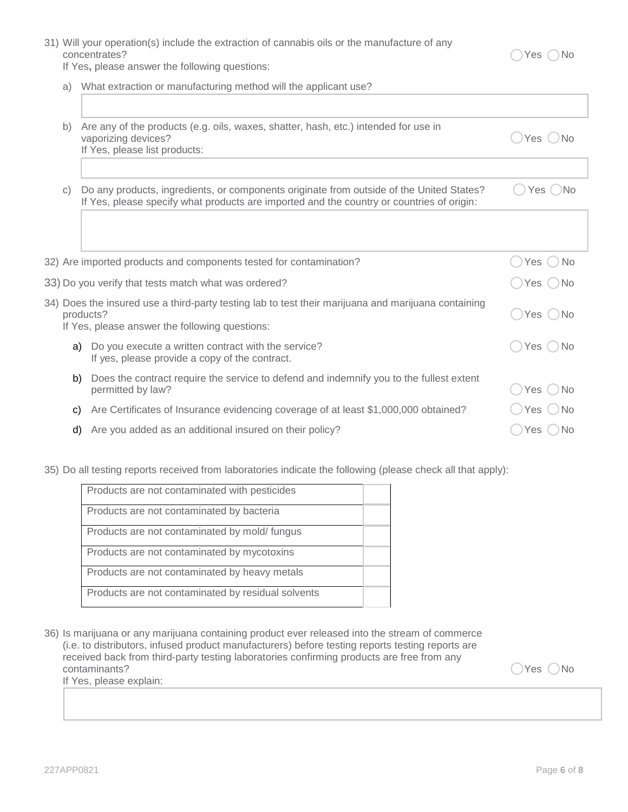|           | 31) Will your operation(s) include the extraction of cannabis oils or the manufacture of any<br>concentrates?<br>If Yes, please answer the following questions:                       | Yes<br>No.                  |
|-----------|---------------------------------------------------------------------------------------------------------------------------------------------------------------------------------------|-----------------------------|
| a)        | What extraction or manufacturing method will the applicant use?                                                                                                                       |                             |
|           |                                                                                                                                                                                       |                             |
| b)        | Are any of the products (e.g. oils, waxes, shatter, hash, etc.) intended for use in<br>vaporizing devices?<br>If Yes, please list products:                                           | Yes<br><b>No</b>            |
|           |                                                                                                                                                                                       |                             |
| $\circ$ ) | Do any products, ingredients, or components originate from outside of the United States?<br>If Yes, please specify what products are imported and the country or countries of origin: | Yes ( )No                   |
|           |                                                                                                                                                                                       |                             |
|           | 32) Are imported products and components tested for contamination?                                                                                                                    | Yes<br><b>No</b>            |
|           | 33) Do you verify that tests match what was ordered?                                                                                                                                  | Yes<br><b>No</b>            |
|           | 34) Does the insured use a third-party testing lab to test their marijuana and marijuana containing<br>products?<br>If Yes, please answer the following questions:                    | Yes ()No                    |
|           | Do you execute a written contract with the service?<br>a)<br>If yes, please provide a copy of the contract.                                                                           | Yes $\bigcirc$<br><b>No</b> |
|           | Does the contract require the service to defend and indemnify you to the fullest extent<br>b)<br>permitted by law?                                                                    | Yes<br><b>No</b>            |
|           | Are Certificates of Insurance evidencing coverage of at least \$1,000,000 obtained?<br>C)                                                                                             | Yes<br><b>No</b>            |
|           | Are you added as an additional insured on their policy?<br>d)                                                                                                                         | Yes<br>No                   |

35) Do all testing reports received from laboratories indicate the following (please check all that apply):

| Products are not contaminated with pesticides      |  |
|----------------------------------------------------|--|
| Products are not contaminated by bacteria          |  |
| Products are not contaminated by mold/fungus       |  |
| Products are not contaminated by mycotoxins        |  |
| Products are not contaminated by heavy metals      |  |
| Products are not contaminated by residual solvents |  |

36) Is marijuana or any marijuana containing product ever released into the stream of commerce (i.e. to distributors, infused product manufacturers) before testing reports testing reports are received back from third-party testing laboratories confirming products are free from any contaminants? 
Contaminants 
COME If Yes, please explain: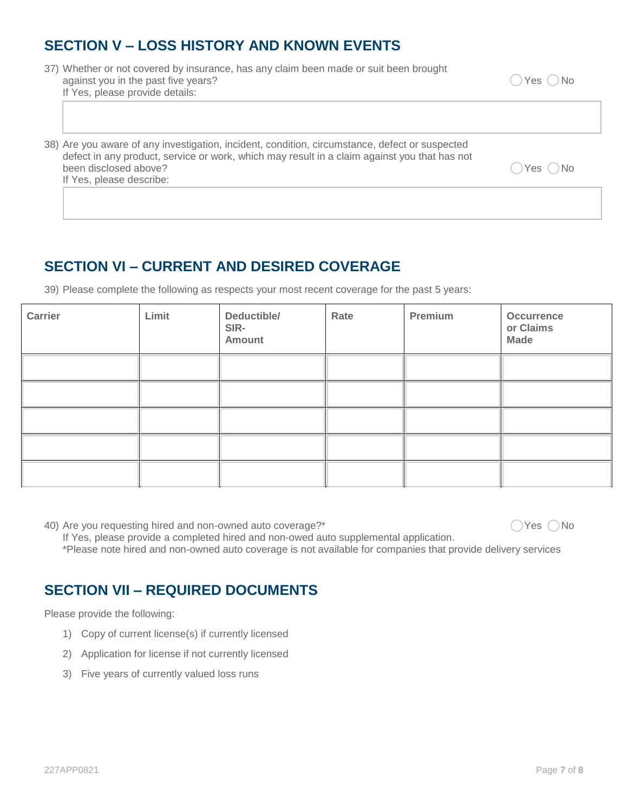### **SECTION V – LOSS HISTORY AND KNOWN EVENTS**

| Yes ( ) No     |
|----------------|
| ( )No<br>Yes ( |
|                |

## **SECTION VI – CURRENT AND DESIRED COVERAGE**

| Carrier | Limit | Deductible/<br>SIR-<br><b>Amount</b> | Rate | Premium | <b>Occurrence</b><br>or Claims<br><b>Made</b> |
|---------|-------|--------------------------------------|------|---------|-----------------------------------------------|
|         |       |                                      |      |         |                                               |
|         |       |                                      |      |         |                                               |
|         |       |                                      |      |         |                                               |
|         |       |                                      |      |         |                                               |
|         |       |                                      |      |         |                                               |

39) Please complete the following as respects your most recent coverage for the past 5 years:

40) Are you requesting hired and non-owned auto coverage?\*  $\bigcirc$  Yes  $\bigcirc$  Yes  $\bigcirc$  No If Yes, please provide a completed hired and non-owed auto supplemental application. \*Please note hired and non-owned auto coverage is not available for companies that provide delivery services

## **SECTION VII – REQUIRED DOCUMENTS**

Please provide the following:

- 1) Copy of current license(s) if currently licensed
- 2) Application for license if not currently licensed
- 3) Five years of currently valued loss runs